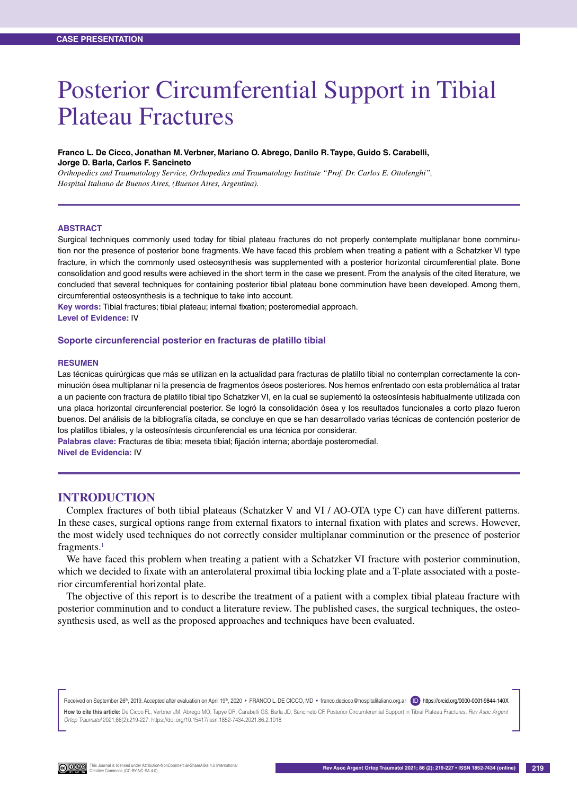# Posterior Circumferential Support in Tibial Plateau Fractures

#### **Franco L. De Cicco, Jonathan M. Verbner, Mariano O. Abrego, Danilo R. Taype, Guido S. Carabelli, Jorge D. Barla, Carlos F. Sancineto**

*Orthopedics and Traumatology Service, Orthopedics and Traumatology Institute "Prof. Dr. Carlos E. Ottolenghi", Hospital Italiano de Buenos Aires, (Buenos Aires, Argentina).*

#### **Abstract**

Surgical techniques commonly used today for tibial plateau fractures do not properly contemplate multiplanar bone comminution nor the presence of posterior bone fragments. We have faced this problem when treating a patient with a Schatzker VI type fracture, in which the commonly used osteosynthesis was supplemented with a posterior horizontal circumferential plate. Bone consolidation and good results were achieved in the short term in the case we present. From the analysis of the cited literature, we concluded that several techniques for containing posterior tibial plateau bone comminution have been developed. Among them, circumferential osteosynthesis is a technique to take into account.

**Key words:** Tibial fractures; tibial plateau; internal fixation; posteromedial approach.

**Level of Evidence:** IV

#### **Soporte circunferencial posterior en fracturas de platillo tibial**

#### **Resumen**

Las técnicas quirúrgicas que más se utilizan en la actualidad para fracturas de platillo tibial no contemplan correctamente la conminución ósea multiplanar ni la presencia de fragmentos óseos posteriores. Nos hemos enfrentado con esta problemática al tratar a un paciente con fractura de platillo tibial tipo Schatzker VI, en la cual se suplementó la osteosíntesis habitualmente utilizada con una placa horizontal circunferencial posterior. Se logró la consolidación ósea y los resultados funcionales a corto plazo fueron buenos. Del análisis de la bibliografía citada, se concluye en que se han desarrollado varias técnicas de contención posterior de los platillos tibiales, y la osteosíntesis circunferencial es una técnica por considerar.

**Palabras clave:** Fracturas de tibia; meseta tibial; fijación interna; abordaje posteromedial. **Nivel de Evidencia:** IV

## **Introduction**

Complex fractures of both tibial plateaus (Schatzker V and VI / AO-OTA type C) can have different patterns. In these cases, surgical options range from external fixators to internal fixation with plates and screws. However, the most widely used techniques do not correctly consider multiplanar comminution or the presence of posterior fragments. $<sup>1</sup>$ </sup>

We have faced this problem when treating a patient with a Schatzker VI fracture with posterior comminution, which we decided to fixate with an anterolateral proximal tibia locking plate and a T-plate associated with a posterior circumferential horizontal plate.

The objective of this report is to describe the treatment of a patient with a complex tibial plateau fracture with posterior comminution and to conduct a literature review. The published cases, the surgical techniques, the osteosynthesis used, as well as the proposed approaches and techniques have been evaluated.

Received on September 26<sup>th</sup>, 2019. Accepted after evaluation on April 19<sup>th</sup>, 2020 • FRANCO L. DE CICCO, MD • franco.decicco@hospitalitaliano.org.ar (ID) https://orcid.org/0000-0001-9844-140X How to cite this article: De Cicco FL, Verbner JM, Abrego MO, Tapye DR, Carabelli GS, Barla JD, Sancineto CF. Posterior Circumferential Support in Tibial Plateau Fractures. *Rev Asoc Argent Ortop Traumatol* 2021;86(2):219-227. https://doi.org/10.15417/issn.1852-7434.2021.86.2.1018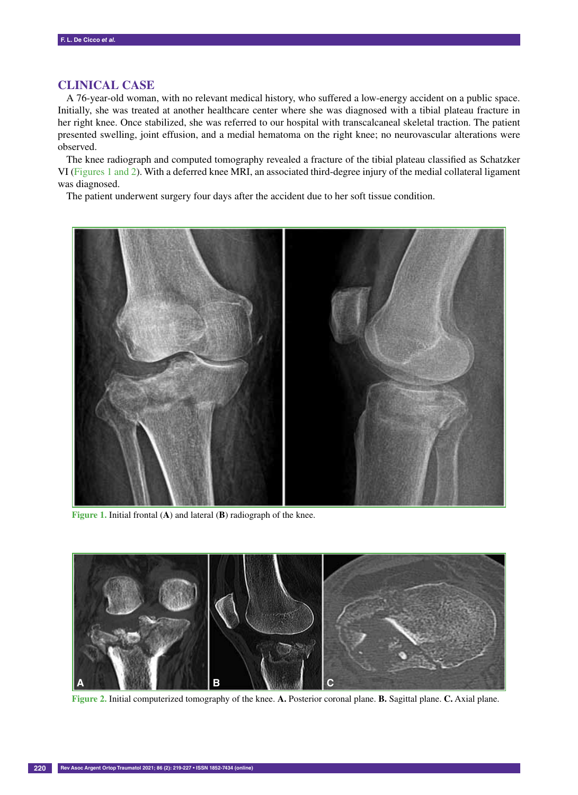# **Clinical Case**

A 76-year-old woman, with no relevant medical history, who suffered a low-energy accident on a public space. Initially, she was treated at another healthcare center where she was diagnosed with a tibial plateau fracture in her right knee. Once stabilized, she was referred to our hospital with transcalcaneal skeletal traction. The patient presented swelling, joint effusion, and a medial hematoma on the right knee; no neurovascular alterations were observed.

The knee radiograph and computed tomography revealed a fracture of the tibial plateau classified as Schatzker VI (Figures 1 and 2). With a deferred knee MRI, an associated third-degree injury of the medial collateral ligament was diagnosed.

The patient underwent surgery four days after the accident due to her soft tissue condition.



**Figure 1.** Initial frontal (**A**) and lateral (**B**) radiograph of the knee.



**Figure 2.** Initial computerized tomography of the knee. **A.** Posterior coronal plane. **B.** Sagittal plane. **C.** Axial plane.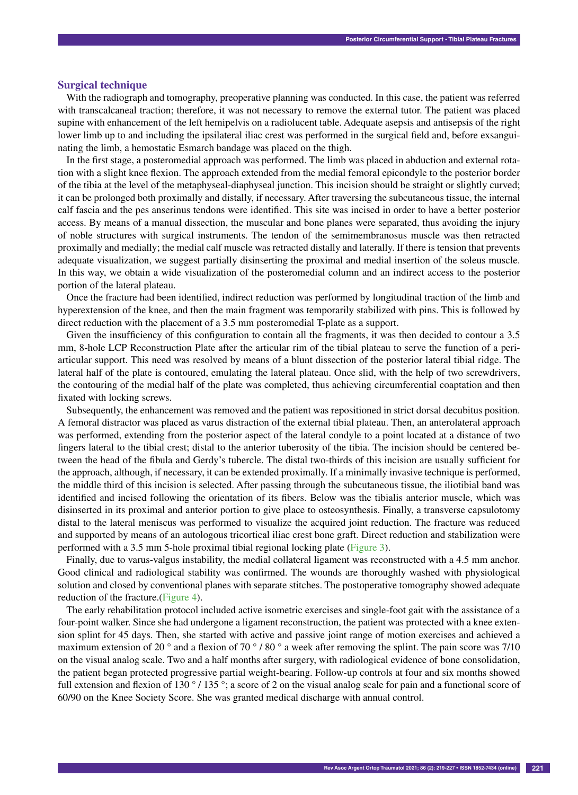### **Surgical technique**

With the radiograph and tomography, preoperative planning was conducted. In this case, the patient was referred with transcalcaneal traction; therefore, it was not necessary to remove the external tutor. The patient was placed supine with enhancement of the left hemipelvis on a radiolucent table. Adequate asepsis and antisepsis of the right lower limb up to and including the ipsilateral iliac crest was performed in the surgical field and, before exsanguinating the limb, a hemostatic Esmarch bandage was placed on the thigh.

In the first stage, a posteromedial approach was performed. The limb was placed in abduction and external rotation with a slight knee flexion. The approach extended from the medial femoral epicondyle to the posterior border of the tibia at the level of the metaphyseal-diaphyseal junction. This incision should be straight or slightly curved; it can be prolonged both proximally and distally, if necessary. After traversing the subcutaneous tissue, the internal calf fascia and the pes anserinus tendons were identified. This site was incised in order to have a better posterior access. By means of a manual dissection, the muscular and bone planes were separated, thus avoiding the injury of noble structures with surgical instruments. The tendon of the semimembranosus muscle was then retracted proximally and medially; the medial calf muscle was retracted distally and laterally. If there is tension that prevents adequate visualization, we suggest partially disinserting the proximal and medial insertion of the soleus muscle. In this way, we obtain a wide visualization of the posteromedial column and an indirect access to the posterior portion of the lateral plateau.

Once the fracture had been identified, indirect reduction was performed by longitudinal traction of the limb and hyperextension of the knee, and then the main fragment was temporarily stabilized with pins. This is followed by direct reduction with the placement of a 3.5 mm posteromedial T-plate as a support.

Given the insufficiency of this configuration to contain all the fragments, it was then decided to contour a 3.5 mm, 8-hole LCP Reconstruction Plate after the articular rim of the tibial plateau to serve the function of a periarticular support. This need was resolved by means of a blunt dissection of the posterior lateral tibial ridge. The lateral half of the plate is contoured, emulating the lateral plateau. Once slid, with the help of two screwdrivers, the contouring of the medial half of the plate was completed, thus achieving circumferential coaptation and then fixated with locking screws.

Subsequently, the enhancement was removed and the patient was repositioned in strict dorsal decubitus position. A femoral distractor was placed as varus distraction of the external tibial plateau. Then, an anterolateral approach was performed, extending from the posterior aspect of the lateral condyle to a point located at a distance of two fingers lateral to the tibial crest; distal to the anterior tuberosity of the tibia. The incision should be centered between the head of the fibula and Gerdy's tubercle. The distal two-thirds of this incision are usually sufficient for the approach, although, if necessary, it can be extended proximally. If a minimally invasive technique is performed, the middle third of this incision is selected. After passing through the subcutaneous tissue, the iliotibial band was identified and incised following the orientation of its fibers. Below was the tibialis anterior muscle, which was disinserted in its proximal and anterior portion to give place to osteosynthesis. Finally, a transverse capsulotomy distal to the lateral meniscus was performed to visualize the acquired joint reduction. The fracture was reduced and supported by means of an autologous tricortical iliac crest bone graft. Direct reduction and stabilization were performed with a 3.5 mm 5-hole proximal tibial regional locking plate (Figure 3).

Finally, due to varus-valgus instability, the medial collateral ligament was reconstructed with a 4.5 mm anchor. Good clinical and radiological stability was confirmed. The wounds are thoroughly washed with physiological solution and closed by conventional planes with separate stitches. The postoperative tomography showed adequate reduction of the fracture.(Figure 4).

The early rehabilitation protocol included active isometric exercises and single-foot gait with the assistance of a four-point walker. Since she had undergone a ligament reconstruction, the patient was protected with a knee extension splint for 45 days. Then, she started with active and passive joint range of motion exercises and achieved a maximum extension of 20  $\degree$  and a flexion of 70  $\degree$  / 80  $\degree$  a week after removing the splint. The pain score was 7/10 on the visual analog scale. Two and a half months after surgery, with radiological evidence of bone consolidation, the patient began protected progressive partial weight-bearing. Follow-up controls at four and six months showed full extension and flexion of 130  $\degree$  / 135  $\degree$ ; a score of 2 on the visual analog scale for pain and a functional score of 60/90 on the Knee Society Score. She was granted medical discharge with annual control.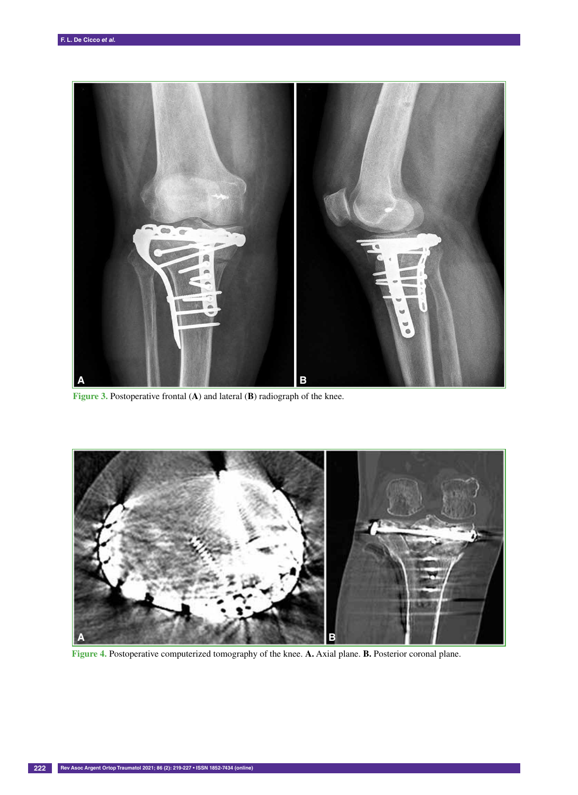

**Figure 3.** Postoperative frontal (**A**) and lateral (**B**) radiograph of the knee.



**Figure 4.** Postoperative computerized tomography of the knee. **A.** Axial plane. **B.** Posterior coronal plane.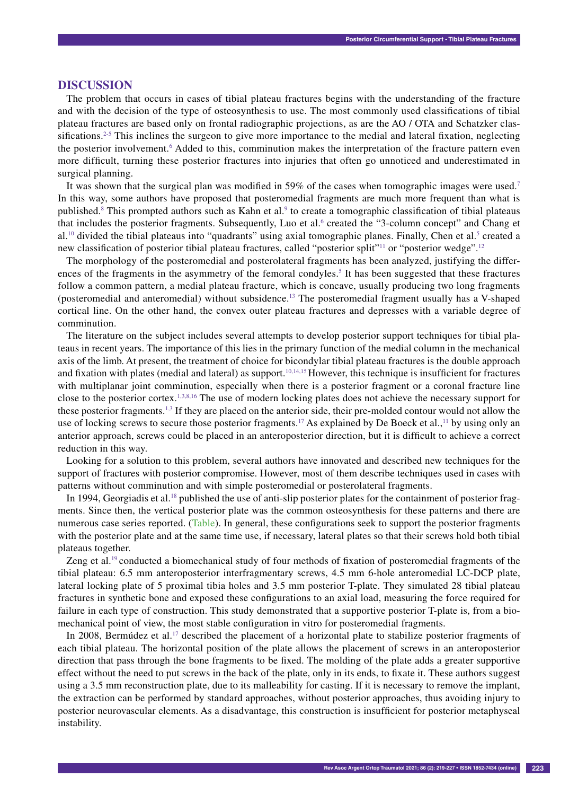## **Discussion**

The problem that occurs in cases of tibial plateau fractures begins with the understanding of the fracture and with the decision of the type of osteosynthesis to use. The most commonly used classifications of tibial plateau fractures are based only on frontal radiographic projections, as are the AO / OTA and Schatzker classifications.<sup>2-5</sup> This inclines the surgeon to give more importance to the medial and lateral fixation, neglecting the posterior involvement.<sup>6</sup> Added to this, comminution makes the interpretation of the fracture pattern even more difficult, turning these posterior fractures into injuries that often go unnoticed and underestimated in surgical planning.

It was shown that the surgical plan was modified in 59% of the cases when tomographic images were used.7 In this way, some authors have proposed that posteromedial fragments are much more frequent than what is published.<sup>8</sup> This prompted authors such as Kahn et al.<sup>9</sup> to create a tomographic classification of tibial plateaus that includes the posterior fragments. Subsequently, Luo et al.<sup>6</sup> created the "3-column concept" and Chang et al.<sup>10</sup> divided the tibial plateaus into "quadrants" using axial tomographic planes. Finally, Chen et al.<sup>5</sup> created a new classification of posterior tibial plateau fractures, called "posterior split"<sup>11</sup> or "posterior wedge".<sup>12</sup>

The morphology of the posteromedial and posterolateral fragments has been analyzed, justifying the differences of the fragments in the asymmetry of the femoral condyles.<sup>5</sup> It has been suggested that these fractures follow a common pattern, a medial plateau fracture, which is concave, usually producing two long fragments (posteromedial and anteromedial) without subsidence.13 The posteromedial fragment usually has a V-shaped cortical line. On the other hand, the convex outer plateau fractures and depresses with a variable degree of comminution.

The literature on the subject includes several attempts to develop posterior support techniques for tibial plateaus in recent years. The importance of this lies in the primary function of the medial column in the mechanical axis of the limb. At present, the treatment of choice for bicondylar tibial plateau fractures is the double approach and fixation with plates (medial and lateral) as support.<sup>10,14,15</sup> However, this technique is insufficient for fractures with multiplanar joint comminution, especially when there is a posterior fragment or a coronal fracture line close to the posterior cortex.<sup>1,3,8,16</sup> The use of modern locking plates does not achieve the necessary support for these posterior fragments.1,3 If they are placed on the anterior side, their pre-molded contour would not allow the use of locking screws to secure those posterior fragments.<sup>17</sup> As explained by De Boeck et al.,<sup>11</sup> by using only an anterior approach, screws could be placed in an anteroposterior direction, but it is difficult to achieve a correct reduction in this way.

Looking for a solution to this problem, several authors have innovated and described new techniques for the support of fractures with posterior compromise. However, most of them describe techniques used in cases with patterns without comminution and with simple posteromedial or posterolateral fragments.

In 1994, Georgiadis et al.<sup>18</sup> published the use of anti-slip posterior plates for the containment of posterior fragments. Since then, the vertical posterior plate was the common osteosynthesis for these patterns and there are numerous case series reported. (Table). In general, these configurations seek to support the posterior fragments with the posterior plate and at the same time use, if necessary, lateral plates so that their screws hold both tibial plateaus together.

Zeng et al.<sup>19</sup> conducted a biomechanical study of four methods of fixation of posteromedial fragments of the tibial plateau: 6.5 mm anteroposterior interfragmentary screws, 4.5 mm 6-hole anteromedial LC-DCP plate, lateral locking plate of 5 proximal tibia holes and 3.5 mm posterior T-plate. They simulated 28 tibial plateau fractures in synthetic bone and exposed these configurations to an axial load, measuring the force required for failure in each type of construction. This study demonstrated that a supportive posterior T-plate is, from a biomechanical point of view, the most stable configuration in vitro for posteromedial fragments.

In 2008, Bermúdez et al.<sup>17</sup> described the placement of a horizontal plate to stabilize posterior fragments of each tibial plateau. The horizontal position of the plate allows the placement of screws in an anteroposterior direction that pass through the bone fragments to be fixed. The molding of the plate adds a greater supportive effect without the need to put screws in the back of the plate, only in its ends, to fixate it. These authors suggest using a 3.5 mm reconstruction plate, due to its malleability for casting. If it is necessary to remove the implant, the extraction can be performed by standard approaches, without posterior approaches, thus avoiding injury to posterior neurovascular elements. As a disadvantage, this construction is insufficient for posterior metaphyseal instability.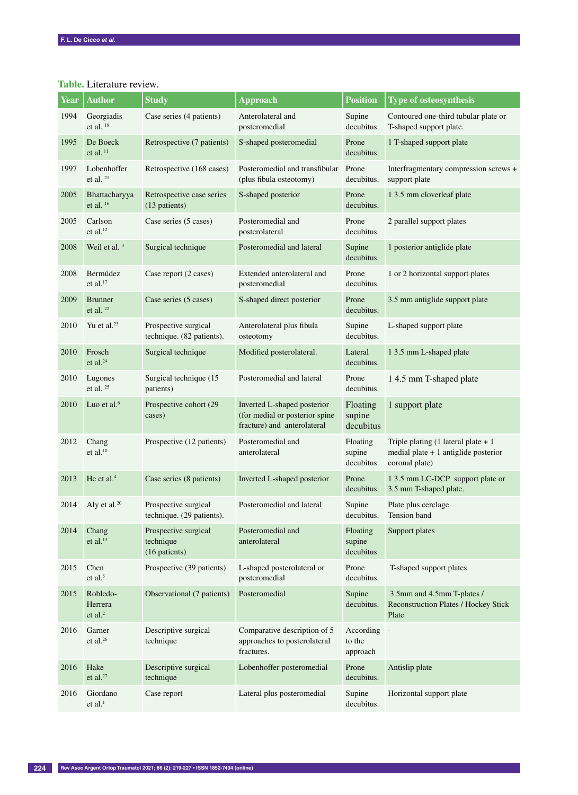# **Table.** Literature review.

| <b>Year</b> | <b>Author</b>                              | <b>Study</b>                                       | <b>Approach</b>                                                                              | <b>Position</b>                 | <b>Type of osteosynthesis</b>                                                                    |
|-------------|--------------------------------------------|----------------------------------------------------|----------------------------------------------------------------------------------------------|---------------------------------|--------------------------------------------------------------------------------------------------|
| 1994        | Georgiadis<br>et al. $18$                  | Case series (4 patients)                           | Anterolateral and<br>posteromedial                                                           | Supine<br>decubitus.            | Contoured one-third tubular plate or<br>T-shaped support plate.                                  |
| 1995        | De Boeck<br>et al. $^{11}$                 | Retrospective (7 patients)                         | S-shaped posteromedial                                                                       | Prone<br>decubitus.             | 1 T-shaped support plate                                                                         |
| 1997        | Lobenhoffer<br>et al. 21                   | Retrospective (168 cases)                          | Posteromedial and transfibular<br>(plus fibula osteotomy)                                    | Prone<br>decubitus.             | Interfragmentary compression screws +<br>support plate                                           |
| 2005        | Bhattacharyya<br>et al. 16                 | Retrospective case series<br>(13 patients)         | S-shaped posterior                                                                           | Prone<br>decubitus.             | 1 3.5 mm cloverleaf plate                                                                        |
| 2005        | Carlson<br>et al. <sup>12</sup>            | Case series (5 cases)                              | Posteromedial and<br>posterolateral                                                          | Prone<br>decubitus.             | 2 parallel support plates                                                                        |
| 2008        | Weil et al. $3$                            | Surgical technique                                 | Posteromedial and lateral                                                                    | Supine<br>decubitus.            | 1 posterior antiglide plate                                                                      |
| 2008        | Bermúdez<br>et al. $17$                    | Case report (2 cases)                              | Extended anterolateral and<br>posteromedial                                                  | Prone<br>decubitus.             | 1 or 2 horizontal support plates                                                                 |
| 2009        | <b>Brunner</b><br>et al. 22                | Case series (5 cases)                              | S-shaped direct posterior                                                                    | Prone<br>decubitus.             | 3.5 mm antiglide support plate                                                                   |
| 2010        | Yu et al. <sup>23</sup>                    | Prospective surgical<br>technique. (82 patients).  | Anterolateral plus fibula<br>osteotomy                                                       | Supine<br>decubitus.            | L-shaped support plate                                                                           |
| 2010        | Frosch<br>et al. $24$                      | Surgical technique                                 | Modified posterolateral.                                                                     | Lateral<br>decubitus.           | 1 3.5 mm L-shaped plate                                                                          |
| 2010        | Lugones<br>et al. $25$                     | Surgical technique (15<br>patients)                | Posteromedial and lateral                                                                    | Prone<br>decubitus.             | 1 4.5 mm T-shaped plate                                                                          |
| 2010        | Luo et al. $6$                             | Prospective cohort (29<br>cases)                   | Inverted L-shaped posterior<br>(for medial or posterior spine<br>fracture) and anterolateral | Floating<br>supine<br>decubitus | 1 support plate                                                                                  |
| 2012        | Chang<br>et al. $10$                       | Prospective (12 patients)                          | Posteromedial and<br>anterolateral                                                           | Floating<br>supine<br>decubitus | Triple plating $(1$ lateral plate + 1<br>medial plate $+1$ antiglide posterior<br>coronal plate) |
| 2013        | He et al. <sup>4</sup>                     | Case series (8 patients)                           | Inverted L-shaped posterior                                                                  | Prone<br>decubitus.             | 1 3.5 mm LC-DCP support plate or<br>3.5 mm T-shaped plate.                                       |
| 2014        | Aly et al. <sup>20</sup>                   | Prospective surgical<br>technique. (29 patients).  | Posteromedial and lateral                                                                    | Supine<br>decubitus.            | Plate plus cerclage<br>Tension band                                                              |
| 2014        | Chang<br>et al. $^{13}$                    | Prospective surgical<br>technique<br>(16 patients) | Posteromedial and<br>anterolateral                                                           | Floating<br>supine<br>decubitus | Support plates                                                                                   |
| 2015        | Chen<br>et al. <sup>5</sup>                | Prospective (39 patients)                          | L-shaped posterolateral or<br>posteromedial                                                  | Prone<br>decubitus.             | T-shaped support plates                                                                          |
| 2015        | Robledo-<br>Herrera<br>et al. <sup>2</sup> | Observational (7 patients)                         | Posteromedial                                                                                | Supine<br>decubitus.            | 3.5mm and 4.5mm T-plates /<br><b>Reconstruction Plates / Hockey Stick</b><br>Plate               |
| 2016        | Garner<br>et al. $26$                      | Descriptive surgical<br>technique                  | Comparative description of 5<br>approaches to posterolateral<br>fractures.                   | According<br>to the<br>approach | $\overline{\phantom{a}}$                                                                         |
| 2016        | Hake<br>et al. $27$                        | Descriptive surgical<br>technique                  | Lobenhoffer posteromedial                                                                    | Prone<br>decubitus.             | Antislip plate                                                                                   |
| 2016        | Giordano<br>et al. <sup>1</sup>            | Case report                                        | Lateral plus posteromedial                                                                   | Supine<br>decubitus.            | Horizontal support plate                                                                         |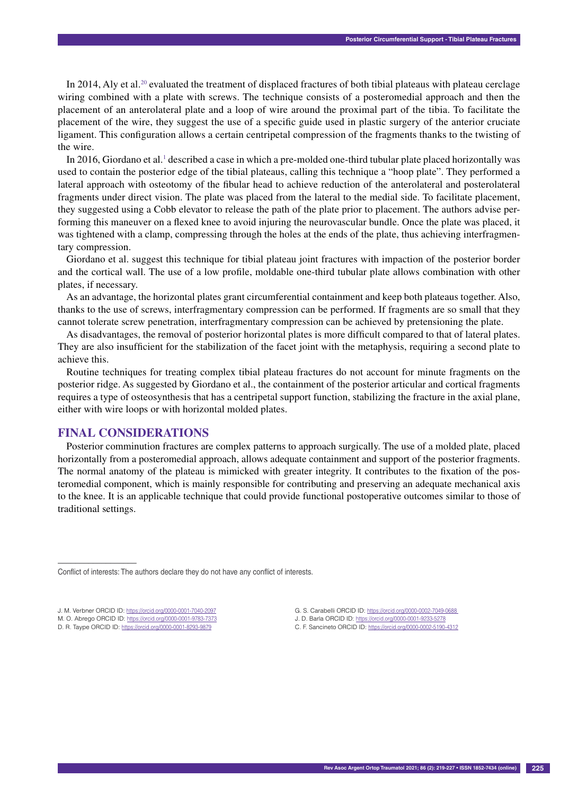In 2014, Aly et al.<sup>20</sup> evaluated the treatment of displaced fractures of both tibial plateaus with plateau cerclage wiring combined with a plate with screws. The technique consists of a posteromedial approach and then the placement of an anterolateral plate and a loop of wire around the proximal part of the tibia. To facilitate the placement of the wire, they suggest the use of a specific guide used in plastic surgery of the anterior cruciate ligament. This configuration allows a certain centripetal compression of the fragments thanks to the twisting of the wire.

In 2016, Giordano et al.<sup>1</sup> described a case in which a pre-molded one-third tubular plate placed horizontally was used to contain the posterior edge of the tibial plateaus, calling this technique a "hoop plate". They performed a lateral approach with osteotomy of the fibular head to achieve reduction of the anterolateral and posterolateral fragments under direct vision. The plate was placed from the lateral to the medial side. To facilitate placement, they suggested using a Cobb elevator to release the path of the plate prior to placement. The authors advise performing this maneuver on a flexed knee to avoid injuring the neurovascular bundle. Once the plate was placed, it was tightened with a clamp, compressing through the holes at the ends of the plate, thus achieving interfragmentary compression.

Giordano et al. suggest this technique for tibial plateau joint fractures with impaction of the posterior border and the cortical wall. The use of a low profile, moldable one-third tubular plate allows combination with other plates, if necessary.

As an advantage, the horizontal plates grant circumferential containment and keep both plateaus together. Also, thanks to the use of screws, interfragmentary compression can be performed. If fragments are so small that they cannot tolerate screw penetration, interfragmentary compression can be achieved by pretensioning the plate.

As disadvantages, the removal of posterior horizontal plates is more difficult compared to that of lateral plates. They are also insufficient for the stabilization of the facet joint with the metaphysis, requiring a second plate to achieve this.

Routine techniques for treating complex tibial plateau fractures do not account for minute fragments on the posterior ridge. As suggested by Giordano et al., the containment of the posterior articular and cortical fragments requires a type of osteosynthesis that has a centripetal support function, stabilizing the fracture in the axial plane, either with wire loops or with horizontal molded plates.

# **Final considerations**

Posterior comminution fractures are complex patterns to approach surgically. The use of a molded plate, placed horizontally from a posteromedial approach, allows adequate containment and support of the posterior fragments. The normal anatomy of the plateau is mimicked with greater integrity. It contributes to the fixation of the posteromedial component, which is mainly responsible for contributing and preserving an adequate mechanical axis to the knee. It is an applicable technique that could provide functional postoperative outcomes similar to those of traditional settings.

––––––––––––––––––

C. F. Sancineto ORCID ID: https://orcid.org/0000-0002-5190-4312

Conflict of interests: The authors declare they do not have any conflict of interests.

J. M. Verbner ORCID ID: https://orcid.org/0000-0001-7040-2097

M. O. Abrego ORCID ID: https://orcid.org/0000-0001-9783-7373 D. R. Taype ORCID ID: https://orcid.org/0000-0001-8293-9879

G. S. Carabelli ORCID ID: https://orcid.org/0000-0002-7049-0688

J. D. Barla ORCID ID: https://orcid.org/0000-0001-9233-5278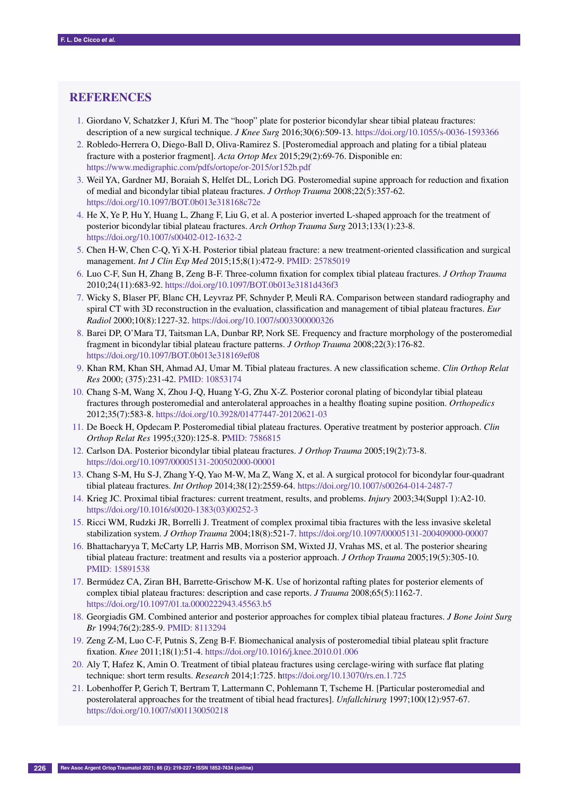# **References**

- 1. Giordano V, Schatzker J, Kfuri M. The "hoop" plate for posterior bicondylar shear tibial plateau fractures: description of a new surgical technique. *J Knee Surg* 2016;30(6):509-13. https://doi.org/10.1055/s-0036-1593366
- 2. Robledo-Herrera O, Diego-Ball D, Oliva-Ramirez S. [Posteromedial approach and plating for a tibial plateau fracture with a posterior fragment]. *Acta Ortop Mex* 2015;29(2):69-76. Disponible en: https://www.medigraphic.com/pdfs/ortope/or-2015/or152b.pdf
- 3. Weil YA, Gardner MJ, Boraiah S, Helfet DL, Lorich DG. Posteromedial supine approach for reduction and fixation of medial and bicondylar tibial plateau fractures. *J Orthop Trauma* 2008;22(5):357-62. https://doi.org/10.1097/BOT.0b013e318168c72e
- 4. He X, Ye P, Hu Y, Huang L, Zhang F, Liu G, et al. A posterior inverted L-shaped approach for the treatment of posterior bicondylar tibial plateau fractures. *Arch Orthop Trauma Surg* 2013;133(1):23-8. https://doi.org/10.1007/s00402-012-1632-2
- 5. Chen H-W, Chen C-Q, Yi X-H. Posterior tibial plateau fracture: a new treatment-oriented classification and surgical management. *Int J Clin Exp Med* 2015;15;8(1):472-9. PMID: 25785019
- 6. Luo C-F, Sun H, Zhang B, Zeng B-F. Three-column fixation for complex tibial plateau fractures. *J Orthop Trauma* 2010;24(11):683-92. https://doi.org/10.1097/BOT.0b013e3181d436f3
- 7. Wicky S, Blaser PF, Blanc CH, Leyvraz PF, Schnyder P, Meuli RA. Comparison between standard radiography and spiral CT with 3D reconstruction in the evaluation, classification and management of tibial plateau fractures. *Eur Radiol* 2000;10(8):1227-32. https://doi.org/10.1007/s003300000326
- 8. Barei DP, O'Mara TJ, Taitsman LA, Dunbar RP, Nork SE. Frequency and fracture morphology of the posteromedial fragment in bicondylar tibial plateau fracture patterns. *J Orthop Trauma* 2008;22(3):176-82. https://doi.org/10.1097/BOT.0b013e318169ef08
- 9. Khan RM, Khan SH, Ahmad AJ, Umar M. Tibial plateau fractures. A new classification scheme. *Clin Orthop Relat Res* 2000; (375):231-42. PMID: 10853174
- 10. Chang S-M, Wang X, Zhou J-Q, Huang Y-G, Zhu X-Z. Posterior coronal plating of bicondylar tibial plateau fractures through posteromedial and anterolateral approaches in a healthy floating supine position. *Orthopedics* 2012;35(7):583-8. https://doi.org/10.3928/01477447-20120621-03
- 11. De Boeck H, Opdecam P. Posteromedial tibial plateau fractures. Operative treatment by posterior approach. *Clin Orthop Relat Res* 1995;(320):125-8. PMID: 7586815
- 12. Carlson DA. Posterior bicondylar tibial plateau fractures. *J Orthop Trauma* 2005;19(2):73-8. https://doi.org/10.1097/00005131-200502000-00001
- 13. Chang S-M, Hu S-J, Zhang Y-Q, Yao M-W, Ma Z, Wang X, et al. A surgical protocol for bicondylar four-quadrant tibial plateau fractures. *Int Orthop* 2014;38(12):2559-64. https://doi.org/10.1007/s00264-014-2487-7
- 14. Krieg JC. Proximal tibial fractures: current treatment, results, and problems. *Injury* 2003;34(Suppl 1):A2-10. https://doi.org/10.1016/s0020-1383(03)00252-3
- 15. Ricci WM, Rudzki JR, Borrelli J. Treatment of complex proximal tibia fractures with the less invasive skeletal stabilization system. *J Orthop Trauma* 2004;18(8):521-7. https://doi.org/10.1097/00005131-200409000-00007
- 16. Bhattacharyya T, McCarty LP, Harris MB, Morrison SM, Wixted JJ, Vrahas MS, et al. The posterior shearing tibial plateau fracture: treatment and results via a posterior approach. *J Orthop Trauma* 2005;19(5):305-10. PMID: 15891538
- 17. Bermúdez CA, Ziran BH, Barrette-Grischow M-K. Use of horizontal rafting plates for posterior elements of complex tibial plateau fractures: description and case reports. *J Trauma* 2008;65(5):1162-7. https://doi.org/10.1097/01.ta.0000222943.45563.b5
- 18. Georgiadis GM. Combined anterior and posterior approaches for complex tibial plateau fractures. *J Bone Joint Surg Br* 1994;76(2):285-9. PMID: 8113294
- 19. Zeng Z-M, Luo C-F, Putnis S, Zeng B-F. Biomechanical analysis of posteromedial tibial plateau split fracture fixation. *Knee* 2011;18(1):51-4. https://doi.org/10.1016/j.knee.2010.01.006
- 20. Aly T, Hafez K, Amin O. Treatment of tibial plateau fractures using cerclage-wiring with surface flat plating technique: short term results. *Research* 2014;1:725. https://doi.org/10.13070/rs.en.1.725
- 21. Lobenhoffer P, Gerich T, Bertram T, Lattermann C, Pohlemann T, Tscheme H. [Particular posteromedial and posterolateral approaches for the treatment of tibial head fractures]. *Unfallchirurg* 1997;100(12):957-67. https://doi.org/10.1007/s001130050218